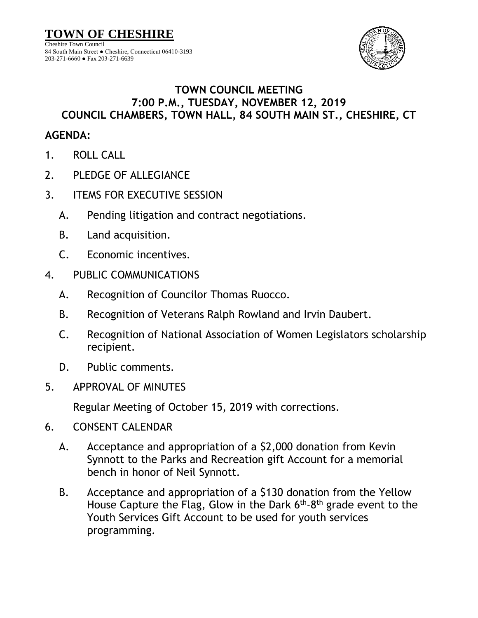

## **TOWN COUNCIL MEETING 7:00 P.M., TUESDAY, NOVEMBER 12, 2019 COUNCIL CHAMBERS, TOWN HALL, 84 SOUTH MAIN ST., CHESHIRE, CT**

## **AGENDA:**

- 1. ROLL CALL
- 2. PLEDGE OF ALLEGIANCE
- 3. ITEMS FOR EXECUTIVE SESSION
	- A. Pending litigation and contract negotiations.
	- B. Land acquisition.
	- C. Economic incentives.
- 4. PUBLIC COMMUNICATIONS
	- A. Recognition of Councilor Thomas Ruocco.
	- B. Recognition of Veterans Ralph Rowland and Irvin Daubert.
	- C. Recognition of National Association of Women Legislators scholarship recipient.
	- D. Public comments.
- 5. APPROVAL OF MINUTES

Regular Meeting of October 15, 2019 with corrections.

- 6. CONSENT CALENDAR
	- A. Acceptance and appropriation of a \$2,000 donation from Kevin Synnott to the Parks and Recreation gift Account for a memorial bench in honor of Neil Synnott.
	- B. Acceptance and appropriation of a \$130 donation from the Yellow House Capture the Flag, Glow in the Dark  $6<sup>th</sup>$ -8<sup>th</sup> grade event to the Youth Services Gift Account to be used for youth services programming.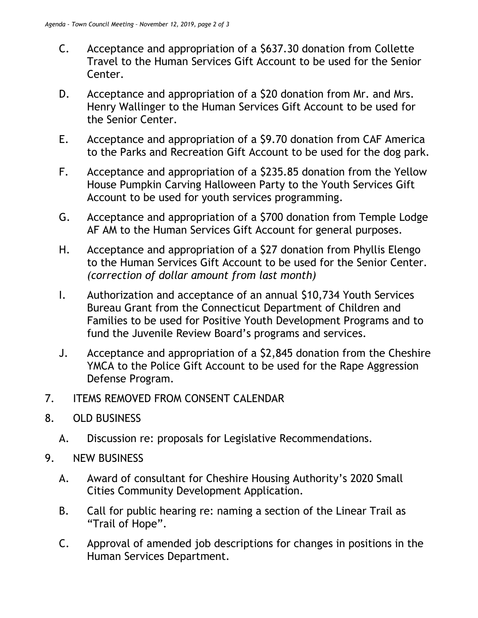- C. Acceptance and appropriation of a \$637.30 donation from Collette Travel to the Human Services Gift Account to be used for the Senior Center.
- D. Acceptance and appropriation of a \$20 donation from Mr. and Mrs. Henry Wallinger to the Human Services Gift Account to be used for the Senior Center.
- E. Acceptance and appropriation of a \$9.70 donation from CAF America to the Parks and Recreation Gift Account to be used for the dog park.
- F. Acceptance and appropriation of a \$235.85 donation from the Yellow House Pumpkin Carving Halloween Party to the Youth Services Gift Account to be used for youth services programming.
- G. Acceptance and appropriation of a \$700 donation from Temple Lodge AF AM to the Human Services Gift Account for general purposes.
- H. Acceptance and appropriation of a \$27 donation from Phyllis Elengo to the Human Services Gift Account to be used for the Senior Center. *(correction of dollar amount from last month)*
- I. Authorization and acceptance of an annual \$10,734 Youth Services Bureau Grant from the Connecticut Department of Children and Families to be used for Positive Youth Development Programs and to fund the Juvenile Review Board's programs and services.
- J. Acceptance and appropriation of a \$2,845 donation from the Cheshire YMCA to the Police Gift Account to be used for the Rape Aggression Defense Program.
- 7. ITEMS REMOVED FROM CONSENT CALENDAR
- 8. OLD BUSINESS
	- A. Discussion re: proposals for Legislative Recommendations.
- 9. NEW BUSINESS
	- A. Award of consultant for Cheshire Housing Authority's 2020 Small Cities Community Development Application.
	- B. Call for public hearing re: naming a section of the Linear Trail as "Trail of Hope".
	- C. Approval of amended job descriptions for changes in positions in the Human Services Department.